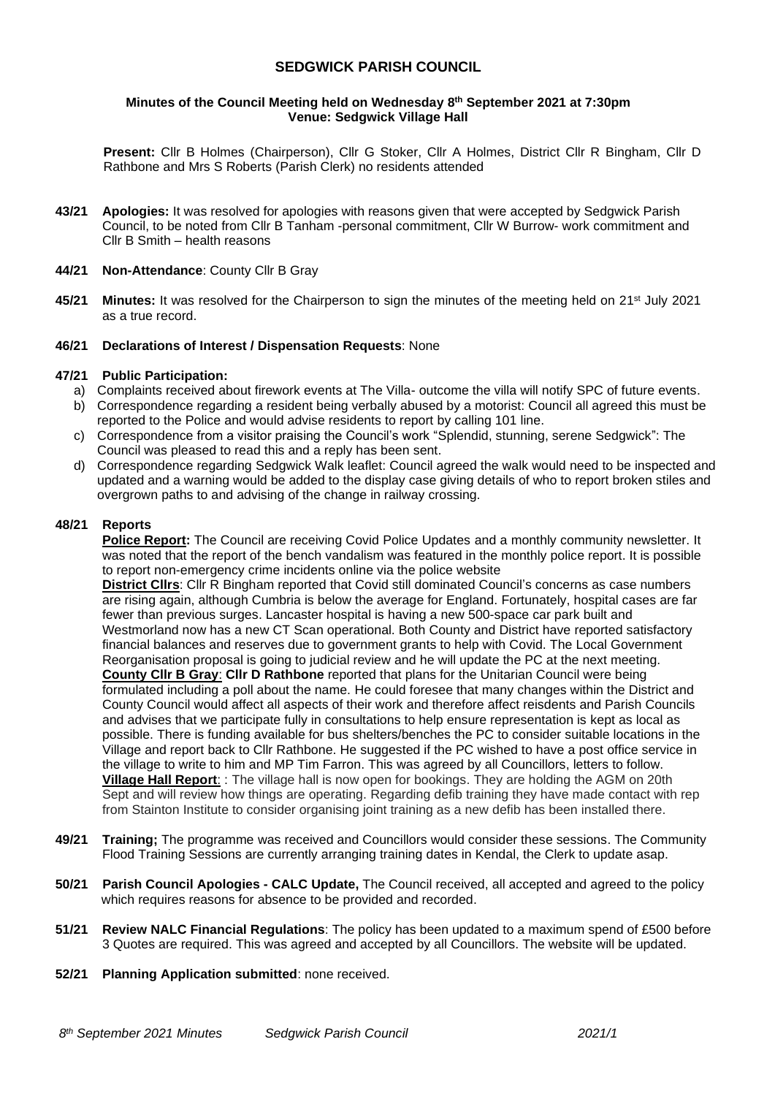## **SEDGWICK PARISH COUNCIL**

### **Minutes of the Council Meeting held on Wednesday 8 th September 2021 at 7:30pm Venue: Sedgwick Village Hall**

**Present:** Cllr B Holmes (Chairperson), Cllr G Stoker, Cllr A Holmes, District Cllr R Bingham, Cllr D Rathbone and Mrs S Roberts (Parish Clerk) no residents attended

**43/21 Apologies:** It was resolved for apologies with reasons given that were accepted by Sedgwick Parish Council, to be noted from Cllr B Tanham -personal commitment, Cllr W Burrow- work commitment and Cllr B Smith – health reasons

### **44/21 Non-Attendance**: County Cllr B Gray

**45/21 Minutes:** It was resolved for the Chairperson to sign the minutes of the meeting held on 21<sup>st</sup> July 2021 as a true record.

### **46/21 Declarations of Interest / Dispensation Requests**: None

### **47/21 Public Participation:**

- a) Complaints received about firework events at The Villa- outcome the villa will notify SPC of future events.
- b) Correspondence regarding a resident being verbally abused by a motorist: Council all agreed this must be reported to the Police and would advise residents to report by calling 101 line.
- c) Correspondence from a visitor praising the Council's work "Splendid, stunning, serene Sedgwick": The Council was pleased to read this and a reply has been sent.
- d) Correspondence regarding Sedgwick Walk leaflet: Council agreed the walk would need to be inspected and updated and a warning would be added to the display case giving details of who to report broken stiles and overgrown paths to and advising of the change in railway crossing.

### **48/21 Reports**

**Police Report:** The Council are receiving Covid Police Updates and a monthly community newsletter. It was noted that the report of the bench vandalism was featured in the monthly police report. It is possible to report non-emergency crime incidents online via the police website **District Cllrs**: Cllr R Bingham reported that Covid still dominated Council's concerns as case numbers are rising again, although Cumbria is below the average for England. Fortunately, hospital cases are far fewer than previous surges. Lancaster hospital is having a new 500-space car park built and Westmorland now has a new CT Scan operational. Both County and District have reported satisfactory financial balances and reserves due to government grants to help with Covid. The Local Government Reorganisation proposal is going to judicial review and he will update the PC at the next meeting. **County Cllr B Gray**: **Cllr D Rathbone** reported that plans for the Unitarian Council were being formulated including a poll about the name. He could foresee that many changes within the District and County Council would affect all aspects of their work and therefore affect reisdents and Parish Councils and advises that we participate fully in consultations to help ensure representation is kept as local as possible. There is funding available for bus shelters/benches the PC to consider suitable locations in the Village and report back to Cllr Rathbone. He suggested if the PC wished to have a post office service in the village to write to him and MP Tim Farron. This was agreed by all Councillors, letters to follow. **Village Hall Report**: : The village hall is now open for bookings. They are holding the AGM on 20th Sept and will review how things are operating. Regarding defib training they have made contact with rep from Stainton Institute to consider organising joint training as a new defib has been installed there.

- **49/21 Training;** The programme was received and Councillors would consider these sessions. The Community Flood Training Sessions are currently arranging training dates in Kendal, the Clerk to update asap.
- **50/21 Parish Council Apologies - CALC Update,** The Council received, all accepted and agreed to the policy which requires reasons for absence to be provided and recorded.
- **51/21 Review NALC Financial Regulations**: The policy has been updated to a maximum spend of £500 before 3 Quotes are required. This was agreed and accepted by all Councillors. The website will be updated.
- **52/21 Planning Application submitted**: none received.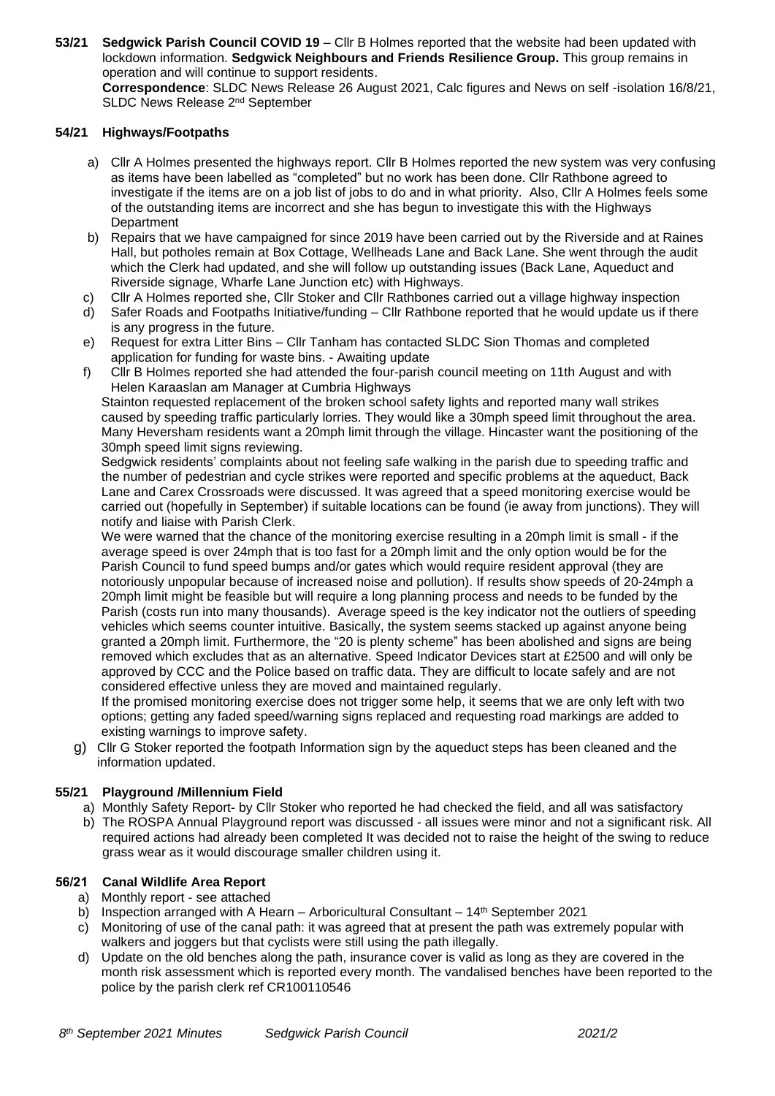**53/21 Sedgwick Parish Council COVID 19** – Cllr B Holmes reported that the website had been updated with lockdown information. **Sedgwick Neighbours and Friends Resilience Group.** This group remains in operation and will continue to support residents.

**Correspondence**: SLDC News Release 26 August 2021, Calc figures and News on self -isolation 16/8/21, SLDC News Release 2<sup>nd</sup> September

## **54/21 Highways/Footpaths**

- a) Cllr A Holmes presented the highways report. Cllr B Holmes reported the new system was very confusing as items have been labelled as "completed" but no work has been done. Cllr Rathbone agreed to investigate if the items are on a job list of jobs to do and in what priority. Also, Cllr A Holmes feels some of the outstanding items are incorrect and she has begun to investigate this with the Highways **Department**
- b) Repairs that we have campaigned for since 2019 have been carried out by the Riverside and at Raines Hall, but potholes remain at Box Cottage, Wellheads Lane and Back Lane. She went through the audit which the Clerk had updated, and she will follow up outstanding issues (Back Lane, Aqueduct and Riverside signage, Wharfe Lane Junction etc) with Highways.
- c) Cllr A Holmes reported she, Cllr Stoker and Cllr Rathbones carried out a village highway inspection
- d) Safer Roads and Footpaths Initiative/funding Cllr Rathbone reported that he would update us if there is any progress in the future.
- e) Request for extra Litter Bins Cllr Tanham has contacted SLDC Sion Thomas and completed application for funding for waste bins. - Awaiting update
- f) Cllr B Holmes reported she had attended the four-parish council meeting on 11th August and with Helen Karaaslan am Manager at Cumbria Highways

Stainton requested replacement of the broken school safety lights and reported many wall strikes caused by speeding traffic particularly lorries. They would like a 30mph speed limit throughout the area. Many Heversham residents want a 20mph limit through the village. Hincaster want the positioning of the 30mph speed limit signs reviewing.

Sedgwick residents' complaints about not feeling safe walking in the parish due to speeding traffic and the number of pedestrian and cycle strikes were reported and specific problems at the aqueduct, Back Lane and Carex Crossroads were discussed. It was agreed that a speed monitoring exercise would be carried out (hopefully in September) if suitable locations can be found (ie away from junctions). They will notify and liaise with Parish Clerk.

We were warned that the chance of the monitoring exercise resulting in a 20mph limit is small - if the average speed is over 24mph that is too fast for a 20mph limit and the only option would be for the Parish Council to fund speed bumps and/or gates which would require resident approval (they are notoriously unpopular because of increased noise and pollution). If results show speeds of 20-24mph a 20mph limit might be feasible but will require a long planning process and needs to be funded by the Parish (costs run into many thousands). Average speed is the key indicator not the outliers of speeding vehicles which seems counter intuitive. Basically, the system seems stacked up against anyone being granted a 20mph limit. Furthermore, the "20 is plenty scheme" has been abolished and signs are being removed which excludes that as an alternative. Speed Indicator Devices start at £2500 and will only be approved by CCC and the Police based on traffic data. They are difficult to locate safely and are not considered effective unless they are moved and maintained regularly.

If the promised monitoring exercise does not trigger some help, it seems that we are only left with two options; getting any faded speed/warning signs replaced and requesting road markings are added to existing warnings to improve safety.

g) Cllr G Stoker reported the footpath Information sign by the aqueduct steps has been cleaned and the information updated.

## **55/21 Playground /Millennium Field**

- a) Monthly Safety Report- by Cllr Stoker who reported he had checked the field, and all was satisfactory
- b) The ROSPA Annual Playground report was discussed all issues were minor and not a significant risk. All required actions had already been completed It was decided not to raise the height of the swing to reduce grass wear as it would discourage smaller children using it.

# **56/21 Canal Wildlife Area Report**

- a) Monthly report see attached<br>b) Inspection arranged with A He
- Inspection arranged with A Hearn Arboricultural Consultant  $14<sup>th</sup>$  September 2021
- c) Monitoring of use of the canal path: it was agreed that at present the path was extremely popular with walkers and joggers but that cyclists were still using the path illegally.
- d) Update on the old benches along the path, insurance cover is valid as long as they are covered in the month risk assessment which is reported every month. The vandalised benches have been reported to the police by the parish clerk ref CR100110546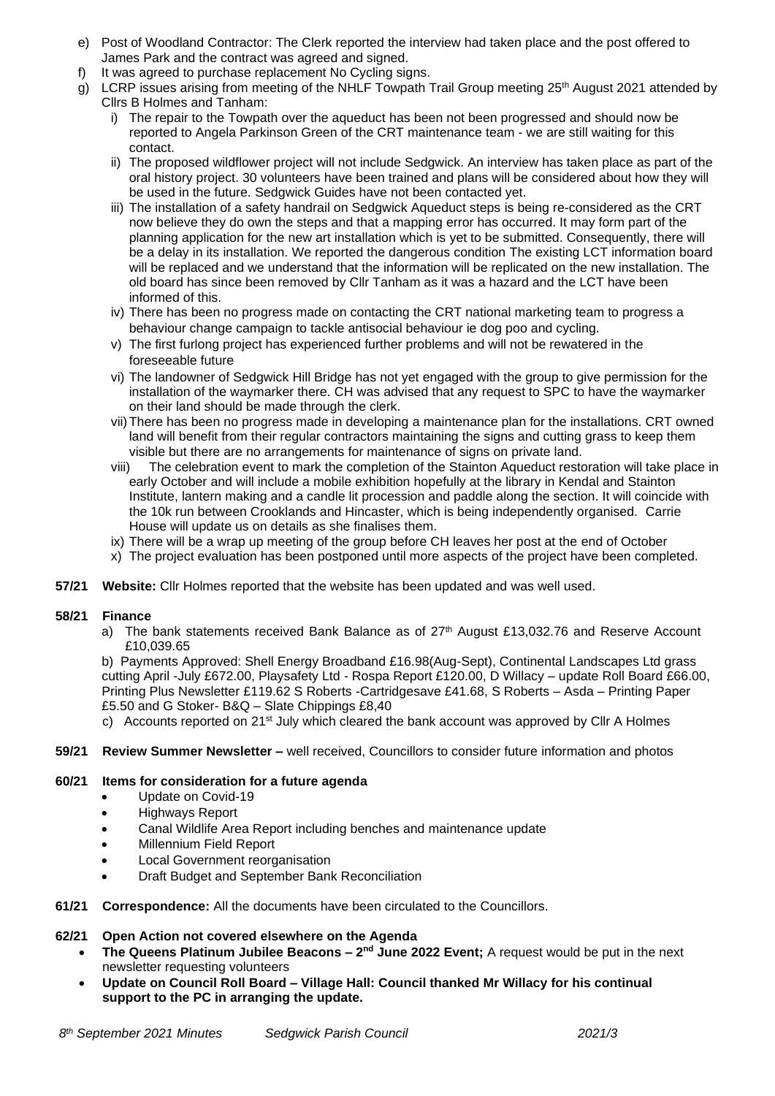- e) Post of Woodland Contractor: The Clerk reported the interview had taken place and the post offered to James Park and the contract was agreed and signed.
- f) It was agreed to purchase replacement No Cycling signs.
- g) LCRP issues arising from meeting of the NHLF Towpath Trail Group meeting 25<sup>th</sup> August 2021 attended by Cllrs B Holmes and Tanham:
	- i) The repair to the Towpath over the aqueduct has been not been progressed and should now be reported to Angela Parkinson Green of the CRT maintenance team - we are still waiting for this contact.
	- ii) The proposed wildflower project will not include Sedgwick. An interview has taken place as part of the oral history project. 30 volunteers have been trained and plans will be considered about how they will be used in the future. Sedgwick Guides have not been contacted yet.
	- iii) The installation of a safety handrail on Sedgwick Aqueduct steps is being re-considered as the CRT now believe they do own the steps and that a mapping error has occurred. It may form part of the planning application for the new art installation which is yet to be submitted. Consequently, there will be a delay in its installation. We reported the dangerous condition The existing LCT information board will be replaced and we understand that the information will be replicated on the new installation. The old board has since been removed by Cllr Tanham as it was a hazard and the LCT have been informed of this.
	- iv) There has been no progress made on contacting the CRT national marketing team to progress a behaviour change campaign to tackle antisocial behaviour ie dog poo and cycling.
	- v) The first furlong project has experienced further problems and will not be rewatered in the foreseeable future
	- vi) The landowner of Sedgwick Hill Bridge has not yet engaged with the group to give permission for the installation of the waymarker there. CH was advised that any request to SPC to have the waymarker on their land should be made through the clerk.
	- vii)There has been no progress made in developing a maintenance plan for the installations. CRT owned land will benefit from their regular contractors maintaining the signs and cutting grass to keep them visible but there are no arrangements for maintenance of signs on private land.
	- viii) The celebration event to mark the completion of the Stainton Aqueduct restoration will take place in early October and will include a mobile exhibition hopefully at the library in Kendal and Stainton Institute, lantern making and a candle lit procession and paddle along the section. It will coincide with the 10k run between Crooklands and Hincaster, which is being independently organised. Carrie House will update us on details as she finalises them.
	- ix) There will be a wrap up meeting of the group before CH leaves her post at the end of October
	- x) The project evaluation has been postponed until more aspects of the project have been completed.
- **57/21 Website:** Cllr Holmes reported that the website has been updated and was well used.

## **58/21 Finance**

a) The bank statements received Bank Balance as of  $27<sup>th</sup>$  August £13,032.76 and Reserve Account £10,039.65

b) Payments Approved: Shell Energy Broadband £16.98(Aug-Sept), Continental Landscapes Ltd grass cutting April -July £672.00, Playsafety Ltd - Rospa Report £120.00, D Willacy – update Roll Board £66.00, Printing Plus Newsletter £119.62 S Roberts -Cartridgesave £41.68, S Roberts – Asda – Printing Paper £5.50 and G Stoker- B&Q – Slate Chippings £8,40

- c) Accounts reported on  $21^{st}$  July which cleared the bank account was approved by Cllr A Holmes
- **59/21 Review Summer Newsletter –** well received, Councillors to consider future information and photos

## **60/21 Items for consideration for a future agenda**

- Update on Covid-19
- Highways Report
- Canal Wildlife Area Report including benches and maintenance update
- Millennium Field Report
- Local Government reorganisation
- Draft Budget and September Bank Reconciliation
- **61/21 Correspondence:** All the documents have been circulated to the Councillors.

## **62/21 Open Action not covered elsewhere on the Agenda**

- **The Queens Platinum Jubilee Beacons 2<sup>nd</sup> June 2022 Event;** A request would be put in the next newsletter requesting volunteers
- **Update on Council Roll Board – Village Hall: Council thanked Mr Willacy for his continual support to the PC in arranging the update.**